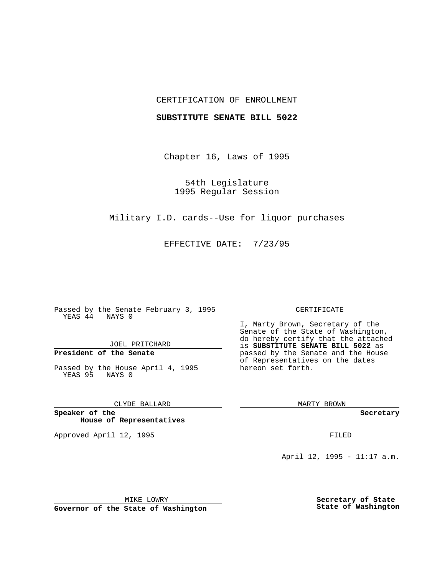## CERTIFICATION OF ENROLLMENT

## **SUBSTITUTE SENATE BILL 5022**

Chapter 16, Laws of 1995

54th Legislature 1995 Regular Session

Military I.D. cards--Use for liquor purchases

EFFECTIVE DATE: 7/23/95

Passed by the Senate February 3, 1995 YEAS 44 NAYS 0

JOEL PRITCHARD

# **President of the Senate**

Passed by the House April 4, 1995 YEAS 95 NAYS 0

CLYDE BALLARD

**Speaker of the House of Representatives**

Approved April 12, 1995 FILED

#### CERTIFICATE

I, Marty Brown, Secretary of the Senate of the State of Washington, do hereby certify that the attached is **SUBSTITUTE SENATE BILL 5022** as passed by the Senate and the House of Representatives on the dates hereon set forth.

MARTY BROWN

**Secretary**

April 12, 1995 - 11:17 a.m.

MIKE LOWRY **Governor of the State of Washington** **Secretary of State State of Washington**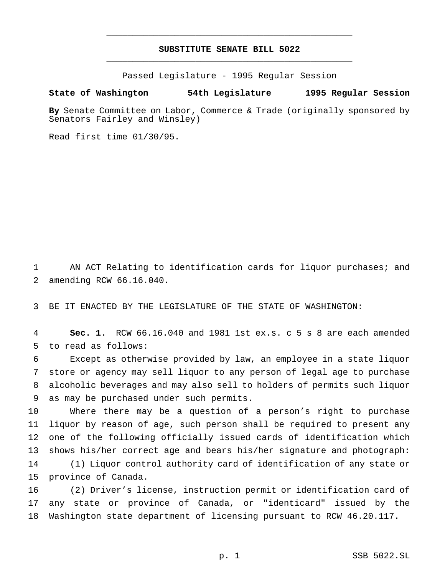## **SUBSTITUTE SENATE BILL 5022** \_\_\_\_\_\_\_\_\_\_\_\_\_\_\_\_\_\_\_\_\_\_\_\_\_\_\_\_\_\_\_\_\_\_\_\_\_\_\_\_\_\_\_\_\_\_\_

\_\_\_\_\_\_\_\_\_\_\_\_\_\_\_\_\_\_\_\_\_\_\_\_\_\_\_\_\_\_\_\_\_\_\_\_\_\_\_\_\_\_\_\_\_\_\_

Passed Legislature - 1995 Regular Session

### **State of Washington 54th Legislature 1995 Regular Session**

**By** Senate Committee on Labor, Commerce & Trade (originally sponsored by Senators Fairley and Winsley)

Read first time 01/30/95.

 AN ACT Relating to identification cards for liquor purchases; and amending RCW 66.16.040.

BE IT ENACTED BY THE LEGISLATURE OF THE STATE OF WASHINGTON:

 **Sec. 1.** RCW 66.16.040 and 1981 1st ex.s. c 5 s 8 are each amended to read as follows:

 Except as otherwise provided by law, an employee in a state liquor store or agency may sell liquor to any person of legal age to purchase alcoholic beverages and may also sell to holders of permits such liquor as may be purchased under such permits.

 Where there may be a question of a person's right to purchase liquor by reason of age, such person shall be required to present any one of the following officially issued cards of identification which shows his/her correct age and bears his/her signature and photograph: (1) Liquor control authority card of identification of any state or province of Canada.

 (2) Driver's license, instruction permit or identification card of any state or province of Canada, or "identicard" issued by the Washington state department of licensing pursuant to RCW 46.20.117.